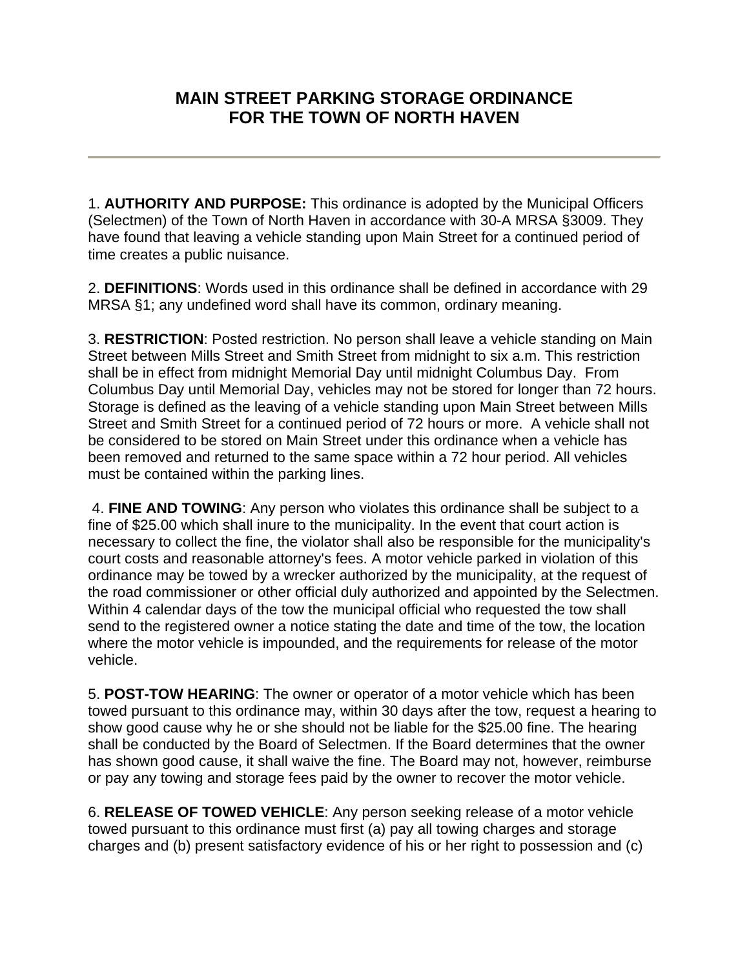## **MAIN STREET PARKING STORAGE ORDINANCE FOR THE TOWN OF NORTH HAVEN**

1. **AUTHORITY AND PURPOSE:** This ordinance is adopted by the Municipal Officers (Selectmen) of the Town of North Haven in accordance with 30-A MRSA §3009. They have found that leaving a vehicle standing upon Main Street for a continued period of time creates a public nuisance.

2. **DEFINITIONS**: Words used in this ordinance shall be defined in accordance with 29 MRSA §1; any undefined word shall have its common, ordinary meaning.

3. **RESTRICTION**: Posted restriction. No person shall leave a vehicle standing on Main Street between Mills Street and Smith Street from midnight to six a.m. This restriction shall be in effect from midnight Memorial Day until midnight Columbus Day. From Columbus Day until Memorial Day, vehicles may not be stored for longer than 72 hours. Storage is defined as the leaving of a vehicle standing upon Main Street between Mills Street and Smith Street for a continued period of 72 hours or more. A vehicle shall not be considered to be stored on Main Street under this ordinance when a vehicle has been removed and returned to the same space within a 72 hour period. All vehicles must be contained within the parking lines.

 4. **FINE AND TOWING**: Any person who violates this ordinance shall be subject to a fine of \$25.00 which shall inure to the municipality. In the event that court action is necessary to collect the fine, the violator shall also be responsible for the municipality's court costs and reasonable attorney's fees. A motor vehicle parked in violation of this ordinance may be towed by a wrecker authorized by the municipality, at the request of the road commissioner or other official duly authorized and appointed by the Selectmen. Within 4 calendar days of the tow the municipal official who requested the tow shall send to the registered owner a notice stating the date and time of the tow, the location where the motor vehicle is impounded, and the requirements for release of the motor vehicle.

5. **POST-TOW HEARING**: The owner or operator of a motor vehicle which has been towed pursuant to this ordinance may, within 30 days after the tow, request a hearing to show good cause why he or she should not be liable for the \$25.00 fine. The hearing shall be conducted by the Board of Selectmen. If the Board determines that the owner has shown good cause, it shall waive the fine. The Board may not, however, reimburse or pay any towing and storage fees paid by the owner to recover the motor vehicle.

6. **RELEASE OF TOWED VEHICLE**: Any person seeking release of a motor vehicle towed pursuant to this ordinance must first (a) pay all towing charges and storage charges and (b) present satisfactory evidence of his or her right to possession and (c)